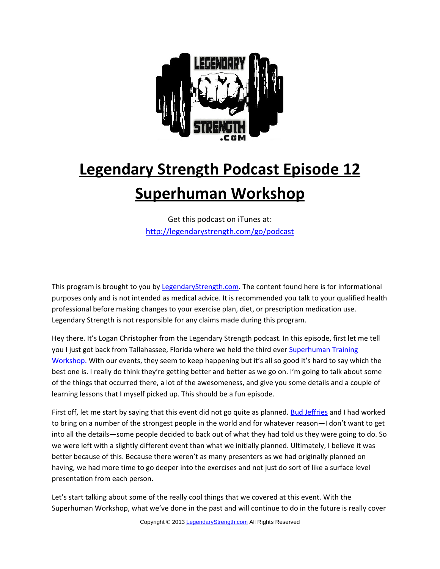

## **Legendary Strength Podcast Episode 12 Superhuman Workshop**

Get this podcast on iTunes at: <http://legendarystrength.com/go/podcast>

This program is brought to you by [LegendaryStrength.com.](http://LegendaryStrength.com/) The content found here is for informational purposes only and is not intended as medical advice. It is recommended you talk to your qualified health professional before making changes to your exercise plan, diet, or prescription medication use. Legendary Strength is not responsible for any claims made during this program.

Hey there. It's Logan Christopher from the Legendary Strength podcast. In this episode, first let me tell you I just got back from Tallahassee, Florida where we held the third ever [Superhuman Training](http://superhumanworkshop.com/) [Workshop.](http://superhumanworkshop.com/) With our events, they seem to keep happening but it's all so good it's hard to say which the best one is. I really do think they're getting better and better as we go on. I'm going to talk about some of the things that occurred there, a lot of the awesomeness, and give you some details and a couple of learning lessons that I myself picked up. This should be a fun episode.

First off, let me start by saying that this event did not go quite as planned. [Bud Jeffries](http://strongerman.com/) and I had worked to bring on a number of the strongest people in the world and for whatever reason—I don't want to get into all the details—some people decided to back out of what they had told us they were going to do. So we were left with a slightly different event than what we initially planned. Ultimately, I believe it was better because of this. Because there weren't as many presenters as we had originally planned on having, we had more time to go deeper into the exercises and not just do sort of like a surface level presentation from each person.

Let's start talking about some of the really cool things that we covered at this event. With the Superhuman Workshop, what we've done in the past and will continue to do in the future is really cover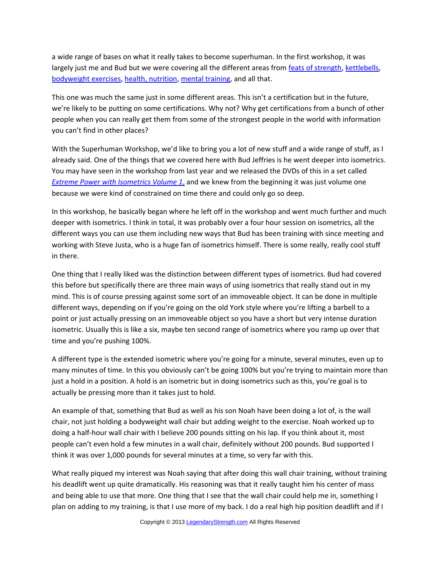a wide range of bases on what it really takes to become superhuman. In the first workshop, it was largely just me and Bud but we were covering all the different areas from [feats of strength,](http://legendarystrength.com/feats-of-strength/) [kettlebells,](http://legendarystrength.com/category/kettlebell-mastery/) [bodyweight exercises,](http://legendarystrength.com/category/bodyweight-mastery/) [health, nutrition,](http://legendarystrength.com/category/health-mastery/) [mental training,](http://legendarystrength.com/category/mental-mastery/) and all that.

This one was much the same just in some different areas. This isn't a certification but in the future, we're likely to be putting on some certifications. Why not? Why get certifications from a bunch of other people when you can really get them from some of the strongest people in the world with information you can't find in other places?

With the Superhuman Workshop, we'd like to bring you a lot of new stuff and a wide range of stuff, as I already said. One of the things that we covered here with Bud Jeffries is he went deeper into isometrics. You may have seen in the workshop from last year and we released the DVDs of this in a set called *Extreme Power with Isometrics Volume 1,* and we knew from the beginning it was just volume one because we were kind of constrained on time there and could only go so deep.

In this workshop, he basically began where he left off in the workshop and went much further and much deeper with isometrics. I think in total, it was probably over a four hour session on isometrics, all the different ways you can use them including new ways that Bud has been training with since meeting and working with Steve Justa, who is a huge fan of isometrics himself. There is some really, really cool stuff in there.

One thing that I really liked was the distinction between different types of isometrics. Bud had covered this before but specifically there are three main ways of using isometrics that really stand out in my mind. This is of course pressing against some sort of an immoveable object. It can be done in multiple different ways, depending on if you're going on the old York style where you're lifting a barbell to a point or just actually pressing on an immoveable object so you have a short but very intense duration isometric. Usually this is like a six, maybe ten second range of isometrics where you ramp up over that time and you're pushing 100%.

A different type is the extended isometric where you're going for a minute, several minutes, even up to many minutes of time. In this you obviously can't be going 100% but you're trying to maintain more than just a hold in a position. A hold is an isometric but in doing isometrics such as this, you're goal is to actually be pressing more than it takes just to hold.

An example of that, something that Bud as well as his son Noah have been doing a lot of, is the wall chair, not just holding a bodyweight wall chair but adding weight to the exercise. Noah worked up to doing a half-hour wall chair with I believe 200 pounds sitting on his lap. If you think about it, most people can't even hold a few minutes in a wall chair, definitely without 200 pounds. Bud supported I think it was over 1,000 pounds for several minutes at a time, so very far with this.

What really piqued my interest was Noah saying that after doing this wall chair training, without training his deadlift went up quite dramatically. His reasoning was that it really taught him his center of mass and being able to use that more. One thing that I see that the wall chair could help me in, something I plan on adding to my training, is that I use more of my back. I do a real high hip position deadlift and if I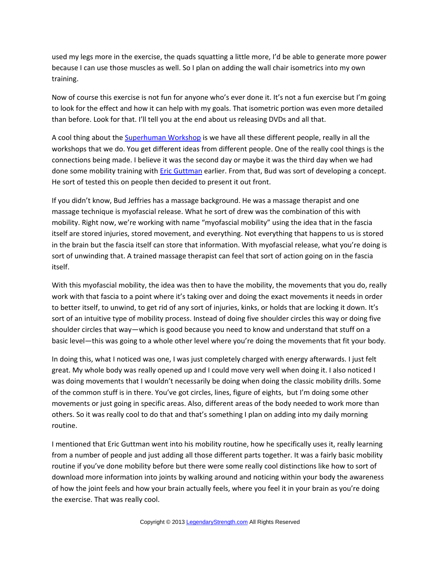used my legs more in the exercise, the quads squatting a little more, I'd be able to generate more power because I can use those muscles as well. So I plan on adding the wall chair isometrics into my own training.

Now of course this exercise is not fun for anyone who's ever done it. It's not a fun exercise but I'm going to look for the effect and how it can help with my goals. That isometric portion was even more detailed than before. Look for that. I'll tell you at the end about us releasing DVDs and all that.

A cool thing about the **Superhuman Workshop** is we have all these different people, really in all the workshops that we do. You get different ideas from different people. One of the really cool things is the connections being made. I believe it was the second day or maybe it was the third day when we had done some mobility training with **Eric Guttman** earlier. From that, Bud was sort of developing a concept. He sort of tested this on people then decided to present it out front.

If you didn't know, Bud Jeffries has a massage background. He was a massage therapist and one massage technique is myofascial release. What he sort of drew was the combination of this with mobility. Right now, we're working with name "myofascial mobility" using the idea that in the fascia itself are stored injuries, stored movement, and everything. Not everything that happens to us is stored in the brain but the fascia itself can store that information. With myofascial release, what you're doing is sort of unwinding that. A trained massage therapist can feel that sort of action going on in the fascia itself.

With this myofascial mobility, the idea was then to have the mobility, the movements that you do, really work with that fascia to a point where it's taking over and doing the exact movements it needs in order to better itself, to unwind, to get rid of any sort of injuries, kinks, or holds that are locking it down. It's sort of an intuitive type of mobility process. Instead of doing five shoulder circles this way or doing five shoulder circles that way—which is good because you need to know and understand that stuff on a basic level—this was going to a whole other level where you're doing the movements that fit your body.

In doing this, what I noticed was one, I was just completely charged with energy afterwards. I just felt great. My whole body was really opened up and I could move very well when doing it. I also noticed I was doing movements that I wouldn't necessarily be doing when doing the classic mobility drills. Some of the common stuff is in there. You've got circles, lines, figure of eights, but I'm doing some other movements or just going in specific areas. Also, different areas of the body needed to work more than others. So it was really cool to do that and that's something I plan on adding into my daily morning routine.

I mentioned that Eric Guttman went into his mobility routine, how he specifically uses it, really learning from a number of people and just adding all those different parts together. It was a fairly basic mobility routine if you've done mobility before but there were some really cool distinctions like how to sort of download more information into joints by walking around and noticing within your body the awareness of how the joint feels and how your brain actually feels, where you feel it in your brain as you're doing the exercise. That was really cool.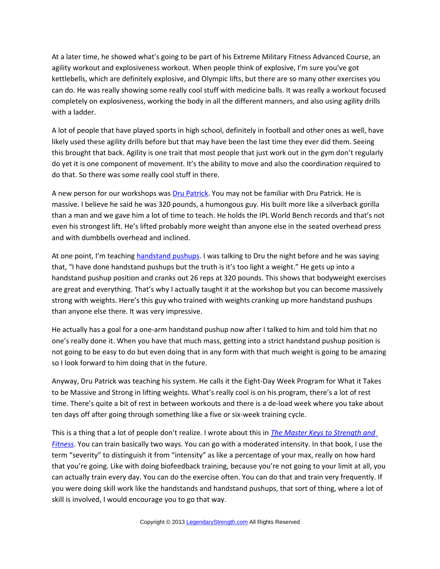At a later time, he showed what's going to be part of his Extreme Military Fitness Advanced Course, an agility workout and explosiveness workout. When people think of explosive, I'm sure you've got kettlebells, which are definitely explosive, and Olympic lifts, but there are so many other exercises you can do. He was really showing some really cool stuff with medicine balls. It was really a workout focused completely on explosiveness, working the body in all the different manners, and also using agility drills with a ladder.

A lot of people that have played sports in high school, definitely in football and other ones as well, have likely used these agility drills before but that may have been the last time they ever did them. Seeing this brought that back. Agility is one trait that most people that just work out in the gym don't regularly do yet it is one component of movement. It's the ability to move and also the coordination required to do that. So there was some really cool stuff in there.

A new person for our workshops was **Dru Patrick**. You may not be familiar with [Dru Patrick.](http://drupatrick.com/) He is massive. I believe he said he was 320 pounds, a humongous guy. His built more like a silverback gorilla than a man and we gave him a lot of time to teach. He holds the IPL World Bench records and that's not even his strongest lift. He's lifted probably more weight than anyone else in the seated overhead press and with dumbbells overhead and inclined.

At one point, I'm teaching [handstand pushups.](http://legendarystrength.com/ultimate-guide-to-handstand-pushups/) I was talking to Dru the night before and he was saying that, "I have done handstand pushups but the truth is it's too light a weight." He gets up into a handstand pushup position and cranks out 26 reps at 320 pounds. This shows that bodyweight exercises are great and everything. That's why I actually taught it at the workshop but you can become massively strong with weights. Here's this guy who trained with weights cranking up more handstand pushups than anyone else there. It was very impressive.

He actually has a goal for a one-arm handstand pushup now after I talked to him and told him that no one's really done it. When you have that much mass, getting into a strict handstand pushup position is not going to be easy to do but even doing that in any form with that much weight is going to be amazing so I look forward to him doing that in the future.

Anyway, Dru Patrick was teaching his system. He calls it the Eight-Day Week Program for What it Takes to be Massive and Strong in lifting weights. What's really cool is on his program, there's a lot of rest time. There's quite a bit of rest in between workouts and there is a de-load week where you take about ten days off after going through something like a five or six-week training cycle.

This is a thing that a lot of people don't realize. I wrote about this in *[The Master Keys to Strength and](http://www.amazon.com/Master-Keys-Strength-Fitness-ebook/dp/B009KPQDNO) [Fitness](http://www.amazon.com/Master-Keys-Strength-Fitness-ebook/dp/B009KPQDNO)*. You can train basically two ways. You can go with a moderated intensity. In that book, I use the term "severity" to distinguish it from "intensity" as like a percentage of your max, really on how hard that you're going. Like with doing biofeedback training, because you're not going to your limit at all, you can actually train every day. You can do the exercise often. You can do that and train very frequently. If you were doing skill work like the handstands and handstand pushups, that sort of thing, where a lot of skill is involved, I would encourage you to go that way.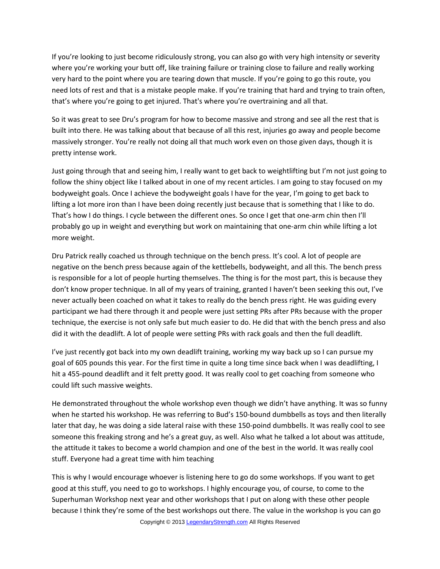If you're looking to just become ridiculously strong, you can also go with very high intensity or severity where you're working your butt off, like training failure or training close to failure and really working very hard to the point where you are tearing down that muscle. If you're going to go this route, you need lots of rest and that is a mistake people make. If you're training that hard and trying to train often, that's where you're going to get injured. That's where you're overtraining and all that.

So it was great to see Dru's program for how to become massive and strong and see all the rest that is built into there. He was talking about that because of all this rest, injuries go away and people become massively stronger. You're really not doing all that much work even on those given days, though it is pretty intense work.

Just going through that and seeing him, I really want to get back to weightlifting but I'm not just going to follow the shiny object like I talked about in one of my recent articles. I am going to stay focused on my bodyweight goals. Once I achieve the bodyweight goals I have for the year, I'm going to get back to lifting a lot more iron than I have been doing recently just because that is something that I like to do. That's how I do things. I cycle between the different ones. So once I get that one-arm chin then I'll probably go up in weight and everything but work on maintaining that one-arm chin while lifting a lot more weight.

Dru Patrick really coached us through technique on the bench press. It's cool. A lot of people are negative on the bench press because again of the kettlebells, bodyweight, and all this. The bench press is responsible for a lot of people hurting themselves. The thing is for the most part, this is because they don't know proper technique. In all of my years of training, granted I haven't been seeking this out, I've never actually been coached on what it takes to really do the bench press right. He was guiding every participant we had there through it and people were just setting PRs after PRs because with the proper technique, the exercise is not only safe but much easier to do. He did that with the bench press and also did it with the deadlift. A lot of people were setting PRs with rack goals and then the full deadlift.

I've just recently got back into my own deadlift training, working my way back up so I can pursue my goal of 605 pounds this year. For the first time in quite a long time since back when I was deadlifting, I hit a 455-pound deadlift and it felt pretty good. It was really cool to get coaching from someone who could lift such massive weights.

He demonstrated throughout the whole workshop even though we didn't have anything. It was so funny when he started his workshop. He was referring to Bud's 150-bound dumbbells as toys and then literally later that day, he was doing a side lateral raise with these 150-poind dumbbells. It was really cool to see someone this freaking strong and he's a great guy, as well. Also what he talked a lot about was attitude, the attitude it takes to become a world champion and one of the best in the world. It was really cool stuff. Everyone had a great time with him teaching

This is why I would encourage whoever is listening here to go do some workshops. If you want to get good at this stuff, you need to go to workshops. I highly encourage you, of course, to come to the Superhuman Workshop next year and other workshops that I put on along with these other people because I think they're some of the best workshops out there. The value in the workshop is you can go Copyright © 2013 [LegendaryStrength.com](http://www.LegendaryStrength.com/) All Rights Reserved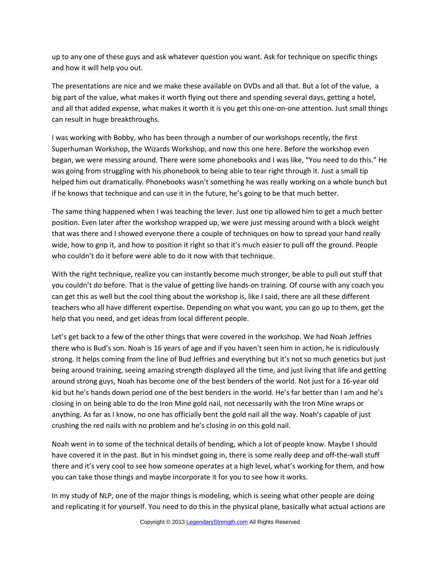up to any one of these guys and ask whatever question you want. Ask for technique on specific things and how it will help you out.

The presentations are nice and we make these available on DVDs and all that. But a lot of the value, a big part of the value, what makes it worth flying out there and spending several days, getting a hotel, and all that added expense, what makes it worth it is you get this one-on-one attention. Just small things can result in huge breakthroughs.

I was working with Bobby, who has been through a number of our workshops recently, the first Superhuman Workshop, the Wizards Workshop, and now this one here. Before the workshop even began, we were messing around. There were some phonebooks and I was like, "You need to do this." He was going from struggling with his phonebook to being able to tear right through it. Just a small tip helped him out dramatically. Phonebooks wasn't something he was really working on a whole bunch but if he knows that technique and can use it in the future, he's going to be that much better.

The same thing happened when I was teaching the lever. Just one tip allowed him to get a much better position. Even later after the workshop wrapped up, we were just messing around with a block weight that was there and I showed everyone there a couple of techniques on how to spread your hand really wide, how to grip it, and how to position it right so that it's much easier to pull off the ground. People who couldn't do it before were able to do it now with that technique.

With the right technique, realize you can instantly become much stronger, be able to pull out stuff that you couldn't do before. That is the value of getting live hands-on training. Of course with any coach you can get this as well but the cool thing about the workshop is, like I said, there are all these different teachers who all have different expertise. Depending on what you want, you can go up to them, get the help that you need, and get ideas from local different people.

Let's get back to a few of the other things that were covered in the workshop. We had Noah Jeffries there who is Bud's son. Noah is 16 years of age and if you haven't seen him in action, he is ridiculously strong. It helps coming from the line of Bud Jeffries and everything but it's not so much genetics but just being around training, seeing amazing strength displayed all the time, and just living that life and getting around strong guys, Noah has become one of the best benders of the world. Not just for a 16-year old kid but he's hands down period one of the best benders in the world. He's far better than I am and he's closing in on being able to do the Iron Mine gold nail, not necessarily with the Iron Mine wraps or anything. As far as I know, no one has officially bent the gold nail all the way. Noah's capable of just crushing the red nails with no problem and he's closing in on this gold nail.

Noah went in to some of the technical details of bending, which a lot of people know. Maybe I should have covered it in the past. But in his mindset going in, there is some really deep and off-the-wall stuff there and it's very cool to see how someone operates at a high level, what's working for them, and how you can take those things and maybe incorporate it for you to see how it works.

In my study of NLP, one of the major things is modeling, which is seeing what other people are doing and replicating it for yourself. You need to do this in the physical plane, basically what actual actions are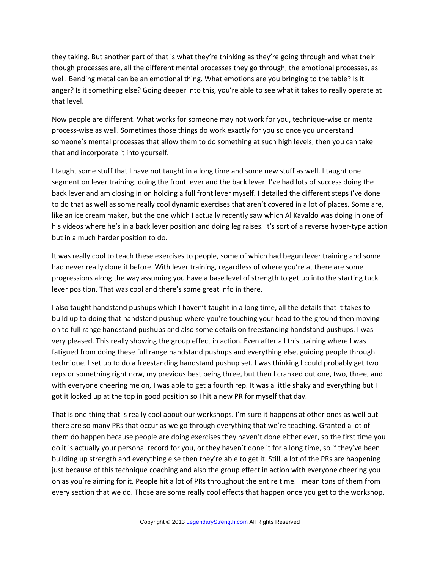they taking. But another part of that is what they're thinking as they're going through and what their though processes are, all the different mental processes they go through, the emotional processes, as well. Bending metal can be an emotional thing. What emotions are you bringing to the table? Is it anger? Is it something else? Going deeper into this, you're able to see what it takes to really operate at that level.

Now people are different. What works for someone may not work for you, technique-wise or mental process-wise as well. Sometimes those things do work exactly for you so once you understand someone's mental processes that allow them to do something at such high levels, then you can take that and incorporate it into yourself.

I taught some stuff that I have not taught in a long time and some new stuff as well. I taught one segment on lever training, doing the front lever and the back lever. I've had lots of success doing the back lever and am closing in on holding a full front lever myself. I detailed the different steps I've done to do that as well as some really cool dynamic exercises that aren't covered in a lot of places. Some are, like an ice cream maker, but the one which I actually recently saw which Al Kavaldo was doing in one of his videos where he's in a back lever position and doing leg raises. It's sort of a reverse hyper-type action but in a much harder position to do.

It was really cool to teach these exercises to people, some of which had begun lever training and some had never really done it before. With lever training, regardless of where you're at there are some progressions along the way assuming you have a base level of strength to get up into the starting tuck lever position. That was cool and there's some great info in there.

I also taught handstand pushups which I haven't taught in a long time, all the details that it takes to build up to doing that handstand pushup where you're touching your head to the ground then moving on to full range handstand pushups and also some details on freestanding handstand pushups. I was very pleased. This really showing the group effect in action. Even after all this training where I was fatigued from doing these full range handstand pushups and everything else, guiding people through technique, I set up to do a freestanding handstand pushup set. I was thinking I could probably get two reps or something right now, my previous best being three, but then I cranked out one, two, three, and with everyone cheering me on, I was able to get a fourth rep. It was a little shaky and everything but I got it locked up at the top in good position so I hit a new PR for myself that day.

That is one thing that is really cool about our workshops. I'm sure it happens at other ones as well but there are so many PRs that occur as we go through everything that we're teaching. Granted a lot of them do happen because people are doing exercises they haven't done either ever, so the first time you do it is actually your personal record for you, or they haven't done it for a long time, so if they've been building up strength and everything else then they're able to get it. Still, a lot of the PRs are happening just because of this technique coaching and also the group effect in action with everyone cheering you on as you're aiming for it. People hit a lot of PRs throughout the entire time. I mean tons of them from every section that we do. Those are some really cool effects that happen once you get to the workshop.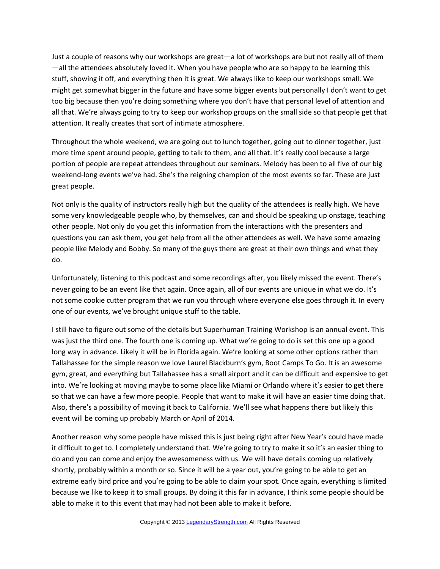Just a couple of reasons why our workshops are great—a lot of workshops are but not really all of them —all the attendees absolutely loved it. When you have people who are so happy to be learning this stuff, showing it off, and everything then it is great. We always like to keep our workshops small. We might get somewhat bigger in the future and have some bigger events but personally I don't want to get too big because then you're doing something where you don't have that personal level of attention and all that. We're always going to try to keep our workshop groups on the small side so that people get that attention. It really creates that sort of intimate atmosphere.

Throughout the whole weekend, we are going out to lunch together, going out to dinner together, just more time spent around people, getting to talk to them, and all that. It's really cool because a large portion of people are repeat attendees throughout our seminars. Melody has been to all five of our big weekend-long events we've had. She's the reigning champion of the most events so far. These are just great people.

Not only is the quality of instructors really high but the quality of the attendees is really high. We have some very knowledgeable people who, by themselves, can and should be speaking up onstage, teaching other people. Not only do you get this information from the interactions with the presenters and questions you can ask them, you get help from all the other attendees as well. We have some amazing people like Melody and Bobby. So many of the guys there are great at their own things and what they do.

Unfortunately, listening to this podcast and some recordings after, you likely missed the event. There's never going to be an event like that again. Once again, all of our events are unique in what we do. It's not some cookie cutter program that we run you through where everyone else goes through it. In every one of our events, we've brought unique stuff to the table.

I still have to figure out some of the details but Superhuman Training Workshop is an annual event. This was just the third one. The fourth one is coming up. What we're going to do is set this one up a good long way in advance. Likely it will be in Florida again. We're looking at some other options rather than Tallahassee for the simple reason we love Laurel Blackburn's gym, Boot Camps To Go. It is an awesome gym, great, and everything but Tallahassee has a small airport and it can be difficult and expensive to get into. We're looking at moving maybe to some place like Miami or Orlando where it's easier to get there so that we can have a few more people. People that want to make it will have an easier time doing that. Also, there's a possibility of moving it back to California. We'll see what happens there but likely this event will be coming up probably March or April of 2014.

Another reason why some people have missed this is just being right after New Year's could have made it difficult to get to. I completely understand that. We're going to try to make it so it's an easier thing to do and you can come and enjoy the awesomeness with us. We will have details coming up relatively shortly, probably within a month or so. Since it will be a year out, you're going to be able to get an extreme early bird price and you're going to be able to claim your spot. Once again, everything is limited because we like to keep it to small groups. By doing it this far in advance, I think some people should be able to make it to this event that may had not been able to make it before.